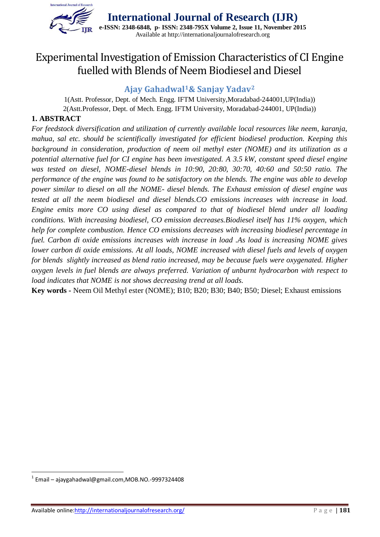

# Experimental Investigation of Emission Characteristics of CI Engine fuelled with Blends of Neem Biodiesel and Diesel

# **Ajay Gahadwal1& Sanjay Yadav<sup>2</sup>**

1(Astt. Professor, Dept. of Mech. Engg. IFTM University,Moradabad-244001,UP(India)) 2(Astt.Professor, Dept. of Mech. Engg. IFTM University, Moradabad-244001, UP(India))

### **1. ABSTRACT**

*For feedstock diversification and utilization of currently available local resources like neem, karanja, mahua, sal etc. should be scientifically investigated for efficient biodiesel production. Keeping this background in consideration, production of neem oil methyl ester (NOME) and its utilization as a potential alternative fuel for CI engine has been investigated. A 3.5 kW, constant speed diesel engine was tested on diesel, NOME-diesel blends in 10:90, 20:80, 30:70, 40:60 and 50:50 ratio. The performance of the engine was found to be satisfactory on the blends. The engine was able to develop power similar to diesel on all the NOME- diesel blends. The Exhaust emission of diesel engine was tested at all the neem biodiesel and diesel blends.CO emissions increases with increase in load. Engine emits more CO using diesel as compared to that of biodiesel blend under all loading conditions. With increasing biodiesel, CO emission decreases.Biodiesel itself has 11% oxygen, which help for complete combustion. Hence CO emissions decreases with increasing biodiesel percentage in fuel. Carbon di oxide emissions increases with increase in load .As load is increasing NOME gives lower carbon di oxide emissions. At all loads, NOME increased with diesel fuels and levels of oxygen for blends slightly increased as blend ratio increased, may be because fuels were oxygenated. Higher oxygen levels in fuel blends are always preferred. Variation of unburnt hydrocarbon with respect to load indicates that NOME is not shows decreasing trend at all loads.*

**Key words -** Neem Oil Methyl ester (NOME); B10; B20; B30; B40; B50; Diesel; Exhaust emissions

1

 $^{1}$  Email – ajaygahadwal@gmail.com,MOB.NO.-9997324408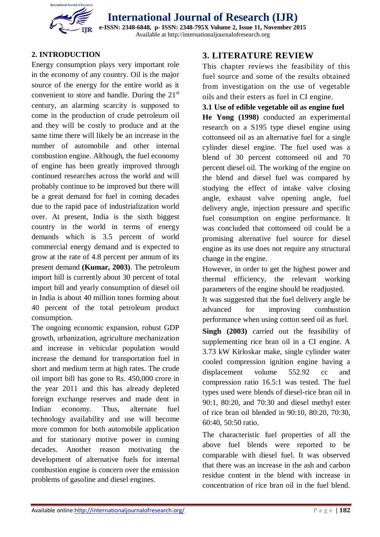

# **International Journal of Research (IJR) e-ISSN: 2348-6848, p- ISSN: 2348-795X Volume 2, Issue 11, November 2015**

Available at http://internationaljournalofresearch.org

# **2. INTRODUCTION**

Energy consumption plays very important role in the economy of any country. Oil is the major source of the energy for the entire world as it convenient to store and handle. During the  $21<sup>st</sup>$ century, an alarming scarcity is supposed to come in the production of crude petroleum oil and they will be costly to produce and at the same time there will likely be an increase in the number of automobile and other internal combustion engine. Although, the fuel economy of engine has been greatly improved through continued researches across the world and will probably continue to be improved but there will be a great demand for fuel in coming decades due to the rapid pace of industrialization world over. At present, India is the sixth biggest country in the world in terms of energy demands which is 3.5 percent of world commercial energy demand and is expected to grow at the rate of 4.8 percent per annum of its present demand **(Kumar, 2003)**. The petroleum import bill is currently about 30 percent of total import bill and yearly consumption of diesel oil in India is about 40 million tones forming about 40 percent of the total petroleum product consumption.

The ongoing economic expansion, robust GDP growth, urbanization, agriculture mechanization and increase in vehicular population would increase the demand for transportation fuel in short and medium term at high rates. The crude oil import bill has gone to Rs. 450,000 crore in the year 2011 and this has already depleted foreign exchange reserves and made dent in Indian economy. Thus, alternate fuel technology availability and use will become more common for both automobile application and for stationary motive power in coming decades. Another reason motivating the development of alternative fuels for internal combustion engine is concern over the emission problems of gasoline and diesel engines.

# **3. LITERATURE REVIEW**

This chapter reviews the feasibility of this fuel source and some of the results obtained from investigation on the use of vegetable oils and their esters as fuel in CI engine.

#### **3.1 Use of edible vegetable oil as engine fuel**

**He Yong (1998)** conducted an experimental research on a S195 type diesel engine using cottonseed oil as an alternative fuel for a single cylinder diesel engine. The fuel used was a blend of 30 percent cottonseed oil and 70 percent diesel oil. The working of the engine on the blend and diesel fuel was compared by studying the effect of intake valve closing angle, exhaust valve opening angle, fuel delivery angle, injection pressure and specific fuel consumption on engine performance. It was concluded that cottonseed oil could be a promising alternative fuel source for diesel engine as its use does not require any structural change in the engine.

However, in order to get the highest power and thermal efficiency, the relevant working parameters of the engine should be readjusted.

It was suggested that the fuel delivery angle be advanced for improving combustion performance when using cotton seed oil as fuel.

**Singh (2003)** carried out the feasibility of supplementing rice bran oil in a CI engine. A 3.73 kW Kirloskar make, single cylinder water cooled compression ignition engine having a displacement volume 552.92 cc and compression ratio 16.5:1 was tested. The fuel types used were blends of diesel-rice bran oil in 90:1, 80:20, and 70:30 and diesel methyl ester of rice bran oil blended in 90:10, 80:20, 70:30, 60:40, 50:50 ratio.

The characteristic fuel properties of all the above fuel blends were reported to be comparable with diesel fuel. It was observed that there was an increase in the ash and carbon residue content in the blend with increase in concentration of rice bran oil in the fuel blend.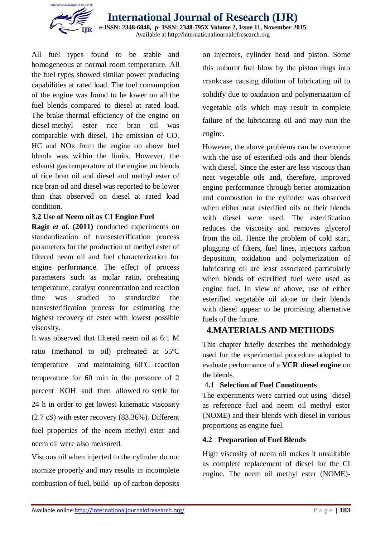

**International Journal of Research (IJR) e-ISSN: 2348-6848, p- ISSN: 2348-795X Volume 2, Issue 11, November 2015** Available at http://internationaljournalofresearch.org

All fuel types found to be stable and homogeneous at normal room temperature. All the fuel types showed similar power producing capabilities at rated load. The fuel consumption of the engine was found to be lower on all the fuel blends compared to diesel at rated load. The brake thermal efficiency of the engine on diesel-methyl ester rice bran oil was comparable with diesel. The emission of CO, HC and NOx from the engine on above fuel blends was within the limits. However, the exhaust gas temperature of the engine on blends of rice bran oil and diesel and methyl ester of rice bran oil and diesel was reported to be lower than that observed on diesel at rated load condition.

#### **3.2 Use of Neem oil as CI Engine Fuel**

**Ragit** *et al.* **(2011)** conducted experiments on standardization of transesterification process parameters for the production of methyl ester of filtered neem oil and fuel characterization for engine performance. The effect of process parameters such as molar ratio, preheating temperature, catalyst concentration and reaction time was studied to standardize the transesterification process for estimating the highest recovery of ester with lowest possible viscosity.

It was observed that filtered neem oil at 6:1 M ratio (methanol to oil) preheated at 55ºC temperature and maintaining 60ºC reaction temperature for 60 min in the presence of 2 percent KOH and then allowed to settle for 24 h in order to get lowest kinematic viscosity (2.7 cS) with ester recovery (83.36%). Different fuel properties of the neem methyl ester and neem oil were also measured.

Viscous oil when injected to the cylinder do not atomize properly and may results in incomplete combustion of fuel, build- up of carbon deposits

on injectors, cylinder head and piston. Some this unburnt fuel blow by the piston rings into crankcase causing dilution of lubricating oil to solidify due to oxidation and polymerization of vegetable oils which may result in complete failure of the lubricating oil and may ruin the engine.

However, the above problems can be overcome with the use of esterified oils and their blends with diesel. Since the ester are less viscous than neat vegetable oils and, therefore, improved engine performance through better atomization and combustion in the cylinder was observed when either neat esterified oils or their blends with diesel were used. The esterification reduces the viscosity and removes glycerol from the oil. Hence the problem of cold start, plugging of filters, fuel lines, injectors carbon deposition, oxidation and polymerization of lubricating oil are least associated particularly when blends of esterified fuel were used as engine fuel. In view of above, use of either esterified vegetable oil alone or their blends with diesel appear to be promising alternative fuels of the future.

# **4.MATERIALS AND METHODS**

This chapter briefly describes the methodology used for the experimental procedure adopted to evaluate performance of a **VCR diesel engine** on the blends.

#### 4**.1 Selection of Fuel Constituents**

The experiments were carried out using diesel as reference fuel and neem oil methyl ester (NOME) and their blends with diesel in various proportions as engine fuel.

#### **4.2 Preparation of Fuel Blends**

High viscosity of neem oil makes it unsuitable as complete replacement of diesel for the CI engine. The neem oil methyl ester (NOME)-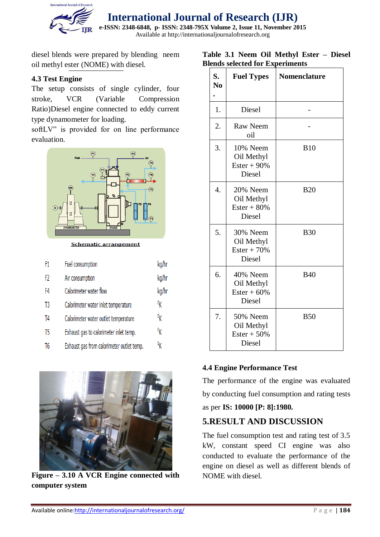

diesel blends were prepared by blending neem oil methyl ester (NOME) with diesel.

#### **4.3 Test Engine**

The setup consists of single cylinder, four stroke, VCR (Variable Compression Ratio)Diesel engine connected to eddy current type dynamometer for loading.

softLV" is provided for on line performance evaluation.



**Schematic arrangement** 

| F1             | Fuel consumption                          | kg/hr |
|----------------|-------------------------------------------|-------|
| F2             | Air consumption                           | kg/hr |
| F4             | Calorimeter water flow                    | kg/hr |
| T3             | Calorimeter water inlet temperature       | ºΚ    |
| T4             | Calorimeter water outlet temperature      | ºκ    |
| T <sub>5</sub> | Exhaust gas to calorimeter inlet temp.    | ºκ    |
| T6             | Exhaust gas from calorimeter outlet temp. | ºκ    |



**Figure – 3.10 A VCR Engine connected with computer system**

#### **Table 3.1 Neem Oil Methyl Ester – Diesel Blends selected for Experiments**

| S.<br>N <sub>0</sub> | <b>Fuel Types</b>                                  | <b>Nomenclature</b> |
|----------------------|----------------------------------------------------|---------------------|
| 1.                   | Diesel                                             |                     |
| 2.                   | <b>Raw Neem</b><br>oil                             |                     |
| 3.                   | 10% Neem<br>Oil Methyl<br>$Ester + 90\%$<br>Diesel | <b>B10</b>          |
| 4.                   | 20% Neem<br>Oil Methyl<br>$Ester + 80\%$<br>Diesel | <b>B20</b>          |
| 5.                   | 30% Neem<br>Oil Methyl<br>$Ester + 70%$<br>Diesel  | <b>B30</b>          |
| 6.                   | 40% Neem<br>Oil Methyl<br>$Ester + 60\%$<br>Diesel | <b>B40</b>          |
| 7.                   | 50% Neem<br>Oil Methyl<br>$Ester + 50\%$<br>Diesel | <b>B50</b>          |

# **4.4 Engine Performance Test**

The performance of the engine was evaluated by conducting fuel consumption and rating tests

# as per **IS: 10000 [P: 8]:1980.**

# **5.RESULT AND DISCUSSION**

The fuel consumption test and rating test of 3.5 kW, constant speed CI engine was also conducted to evaluate the performance of the engine on diesel as well as different blends of NOME with diesel.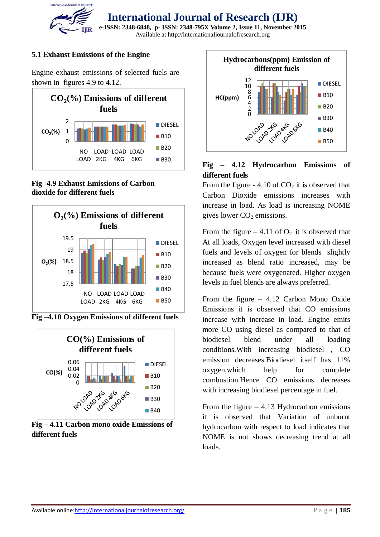

#### **5.1 Exhaust Emissions of the Engine**

Engine exhaust emissions of selected fuels are shown in figures 4.9 to 4.12.



**Fig -4.9 Exhaust Emissions of Carbon dioxide for different fuels**



**Fig –4.10 Oxygen Emissions of different fuels**



**Fig – 4.11 Carbon mono oxide Emissions of different fuels** 



#### **Fig – 4.12 Hydrocarbon Emissions of different fuels**

From the figure -  $4.10$  of  $CO<sub>2</sub>$  it is observed that Carbon Dioxide emissions increases with increase in load. As load is increasing NOME gives lower  $CO<sub>2</sub>$  emissions.

From the figure – 4.11 of  $O_2$  it is observed that At all loads, Oxygen level increased with diesel fuels and levels of oxygen for blends slightly increased as blend ratio increased, may be because fuels were oxygenated. Higher oxygen levels in fuel blends are always preferred.

From the figure – 4.12 Carbon Mono Oxide Emissions it is observed that CO emissions increase with increase in load. Engine emits more CO using diesel as compared to that of biodiesel blend under all loading conditions.With increasing biodiesel , CO emission decreases.Biodiesel itself has 11% oxygen, which help for complete combustion.Hence CO emissions decreases with increasing biodiesel percentage in fuel.

From the figure  $-4.13$  Hydrocarbon emissions it is observed that Variation of unburnt hydrocarbon with respect to load indicates that NOME is not shows decreasing trend at all loads.